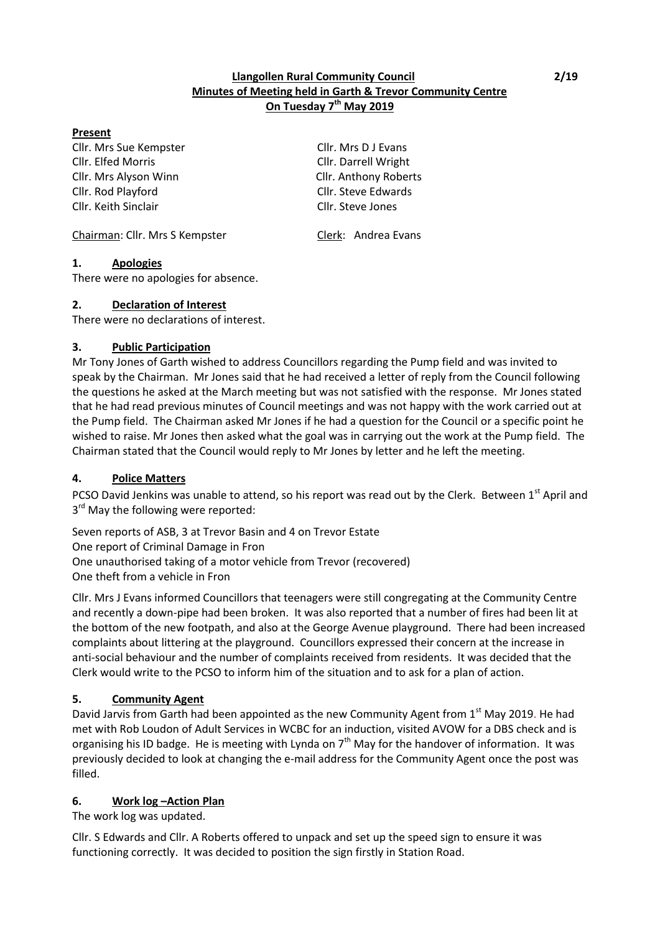### **Llangollen Rural Community Council 2/19 Minutes of Meeting held in Garth & Trevor Community Centre On Tuesday 7 th May 2019**

### **Present**

Cllr. Mrs Sue Kempster Cllr. Mrs D J Evans Cllr. Elfed Morris Cllr. Darrell Wright Cllr. Mrs Alyson Winn Cllr. Anthony Roberts Cllr. Rod Playford Cllr. Steve Edwards Cllr. Keith Sinclair Cllr. Steve Jones

Chairman: Cllr. Mrs S Kempster Clerk: Andrea Evans

# **1. Apologies**

There were no apologies for absence.

### **2. Declaration of Interest**

There were no declarations of interest.

### **3. Public Participation**

Mr Tony Jones of Garth wished to address Councillors regarding the Pump field and was invited to speak by the Chairman. Mr Jones said that he had received a letter of reply from the Council following the questions he asked at the March meeting but was not satisfied with the response. Mr Jones stated that he had read previous minutes of Council meetings and was not happy with the work carried out at the Pump field. The Chairman asked Mr Jones if he had a question for the Council or a specific point he wished to raise. Mr Jones then asked what the goal was in carrying out the work at the Pump field. The Chairman stated that the Council would reply to Mr Jones by letter and he left the meeting.

### **4. Police Matters**

PCSO David Jenkins was unable to attend, so his report was read out by the Clerk. Between 1st April and 3<sup>rd</sup> May the following were reported:

Seven reports of ASB, 3 at Trevor Basin and 4 on Trevor Estate One report of Criminal Damage in Fron One unauthorised taking of a motor vehicle from Trevor (recovered) One theft from a vehicle in Fron

Cllr. Mrs J Evans informed Councillors that teenagers were still congregating at the Community Centre and recently a down-pipe had been broken. It was also reported that a number of fires had been lit at the bottom of the new footpath, and also at the George Avenue playground. There had been increased complaints about littering at the playground. Councillors expressed their concern at the increase in anti-social behaviour and the number of complaints received from residents. It was decided that the Clerk would write to the PCSO to inform him of the situation and to ask for a plan of action.

### **5. Community Agent**

David Jarvis from Garth had been appointed as the new Community Agent from 1st May 2019. He had met with Rob Loudon of Adult Services in WCBC for an induction, visited AVOW for a DBS check and is organising his ID badge. He is meeting with Lynda on  $7<sup>th</sup>$  May for the handover of information. It was previously decided to look at changing the e-mail address for the Community Agent once the post was filled.

### **6. Work log –Action Plan**

The work log was updated.

Cllr. S Edwards and Cllr. A Roberts offered to unpack and set up the speed sign to ensure it was functioning correctly. It was decided to position the sign firstly in Station Road.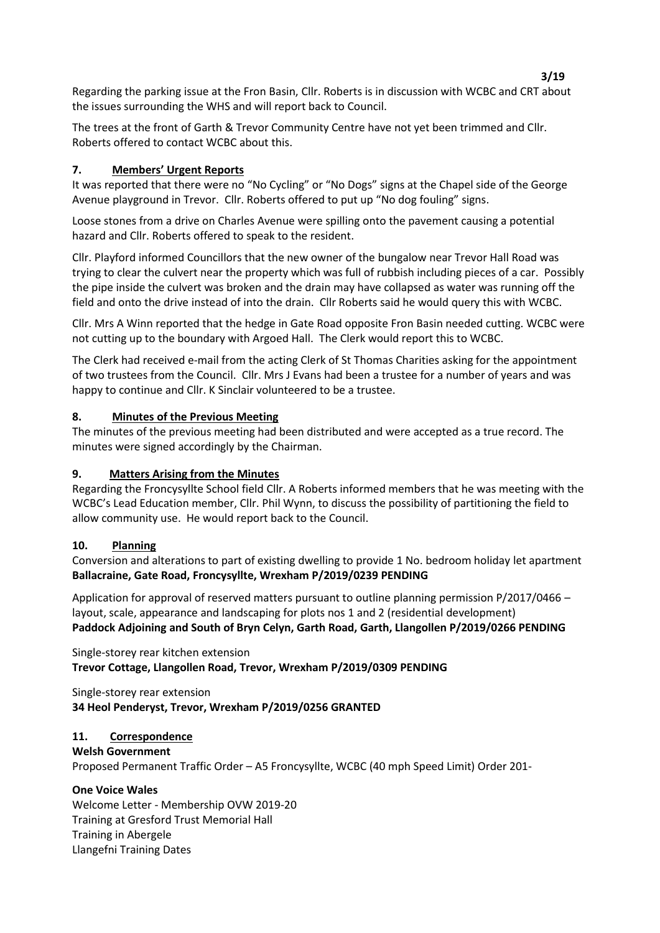Regarding the parking issue at the Fron Basin, Cllr. Roberts is in discussion with WCBC and CRT about the issues surrounding the WHS and will report back to Council.

The trees at the front of Garth & Trevor Community Centre have not yet been trimmed and Cllr. Roberts offered to contact WCBC about this.

# **7. Members' Urgent Reports**

It was reported that there were no "No Cycling" or "No Dogs" signs at the Chapel side of the George Avenue playground in Trevor. Cllr. Roberts offered to put up "No dog fouling" signs.

Loose stones from a drive on Charles Avenue were spilling onto the pavement causing a potential hazard and Cllr. Roberts offered to speak to the resident.

Cllr. Playford informed Councillors that the new owner of the bungalow near Trevor Hall Road was trying to clear the culvert near the property which was full of rubbish including pieces of a car. Possibly the pipe inside the culvert was broken and the drain may have collapsed as water was running off the field and onto the drive instead of into the drain. Cllr Roberts said he would query this with WCBC.

Cllr. Mrs A Winn reported that the hedge in Gate Road opposite Fron Basin needed cutting. WCBC were not cutting up to the boundary with Argoed Hall. The Clerk would report this to WCBC.

The Clerk had received e-mail from the acting Clerk of St Thomas Charities asking for the appointment of two trustees from the Council. Cllr. Mrs J Evans had been a trustee for a number of years and was happy to continue and Cllr. K Sinclair volunteered to be a trustee.

### **8. Minutes of the Previous Meeting**

The minutes of the previous meeting had been distributed and were accepted as a true record. The minutes were signed accordingly by the Chairman.

### **9. Matters Arising from the Minutes**

Regarding the Froncysyllte School field Cllr. A Roberts informed members that he was meeting with the WCBC's Lead Education member, Cllr. Phil Wynn, to discuss the possibility of partitioning the field to allow community use. He would report back to the Council.

### **10. Planning**

Conversion and alterations to part of existing dwelling to provide 1 No. bedroom holiday let apartment **Ballacraine, Gate Road, Froncysyllte, Wrexham P/2019/0239 PENDING**

Application for approval of reserved matters pursuant to outline planning permission P/2017/0466 – layout, scale, appearance and landscaping for plots nos 1 and 2 (residential development) **Paddock Adjoining and South of Bryn Celyn, Garth Road, Garth, Llangollen P/2019/0266 PENDING**

Single-storey rear kitchen extension **Trevor Cottage, Llangollen Road, Trevor, Wrexham P/2019/0309 PENDING**

Single-storey rear extension **34 Heol Penderyst, Trevor, Wrexham P/2019/0256 GRANTED**

### **11. Correspondence**

**Welsh Government**

Proposed Permanent Traffic Order – A5 Froncysyllte, WCBC (40 mph Speed Limit) Order 201-

# **One Voice Wales**

Welcome Letter - Membership OVW 2019-20 Training at Gresford Trust Memorial Hall Training in Abergele Llangefni Training Dates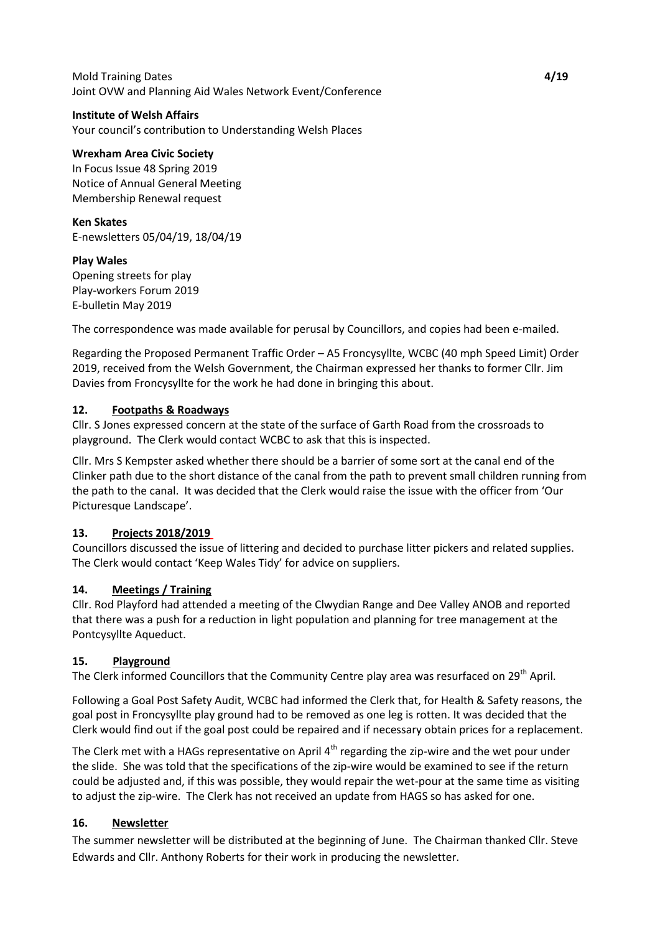### Mold Training Dates **4/19** Joint OVW and Planning Aid Wales Network Event/Conference

#### **Institute of Welsh Affairs**

Your council's contribution to Understanding Welsh Places

### **Wrexham Area Civic Society**

In Focus Issue 48 Spring 2019 Notice of Annual General Meeting Membership Renewal request

#### **Ken Skates**

E-newsletters 05/04/19, 18/04/19

### **Play Wales**

Opening streets for play Play-workers Forum 2019 E-bulletin May 2019

The correspondence was made available for perusal by Councillors, and copies had been e-mailed.

Regarding the Proposed Permanent Traffic Order – A5 Froncysyllte, WCBC (40 mph Speed Limit) Order 2019, received from the Welsh Government, the Chairman expressed her thanks to former Cllr. Jim Davies from Froncysyllte for the work he had done in bringing this about.

### **12. Footpaths & Roadways**

Cllr. S Jones expressed concern at the state of the surface of Garth Road from the crossroads to playground. The Clerk would contact WCBC to ask that this is inspected.

Cllr. Mrs S Kempster asked whether there should be a barrier of some sort at the canal end of the Clinker path due to the short distance of the canal from the path to prevent small children running from the path to the canal. It was decided that the Clerk would raise the issue with the officer from 'Our Picturesque Landscape'.

### **13. Projects 2018/2019**

Councillors discussed the issue of littering and decided to purchase litter pickers and related supplies. The Clerk would contact 'Keep Wales Tidy' for advice on suppliers.

### **14. Meetings / Training**

Cllr. Rod Playford had attended a meeting of the Clwydian Range and Dee Valley ANOB and reported that there was a push for a reduction in light population and planning for tree management at the Pontcysyllte Aqueduct.

### **15. Playground**

The Clerk informed Councillors that the Community Centre play area was resurfaced on 29<sup>th</sup> April.

Following a Goal Post Safety Audit, WCBC had informed the Clerk that, for Health & Safety reasons, the goal post in Froncysyllte play ground had to be removed as one leg is rotten. It was decided that the Clerk would find out if the goal post could be repaired and if necessary obtain prices for a replacement.

The Clerk met with a HAGs representative on April 4<sup>th</sup> regarding the zip-wire and the wet pour under the slide. She was told that the specifications of the zip-wire would be examined to see if the return could be adjusted and, if this was possible, they would repair the wet-pour at the same time as visiting to adjust the zip-wire. The Clerk has not received an update from HAGS so has asked for one.

### **16. Newsletter**

The summer newsletter will be distributed at the beginning of June. The Chairman thanked Cllr. Steve Edwards and Cllr. Anthony Roberts for their work in producing the newsletter.